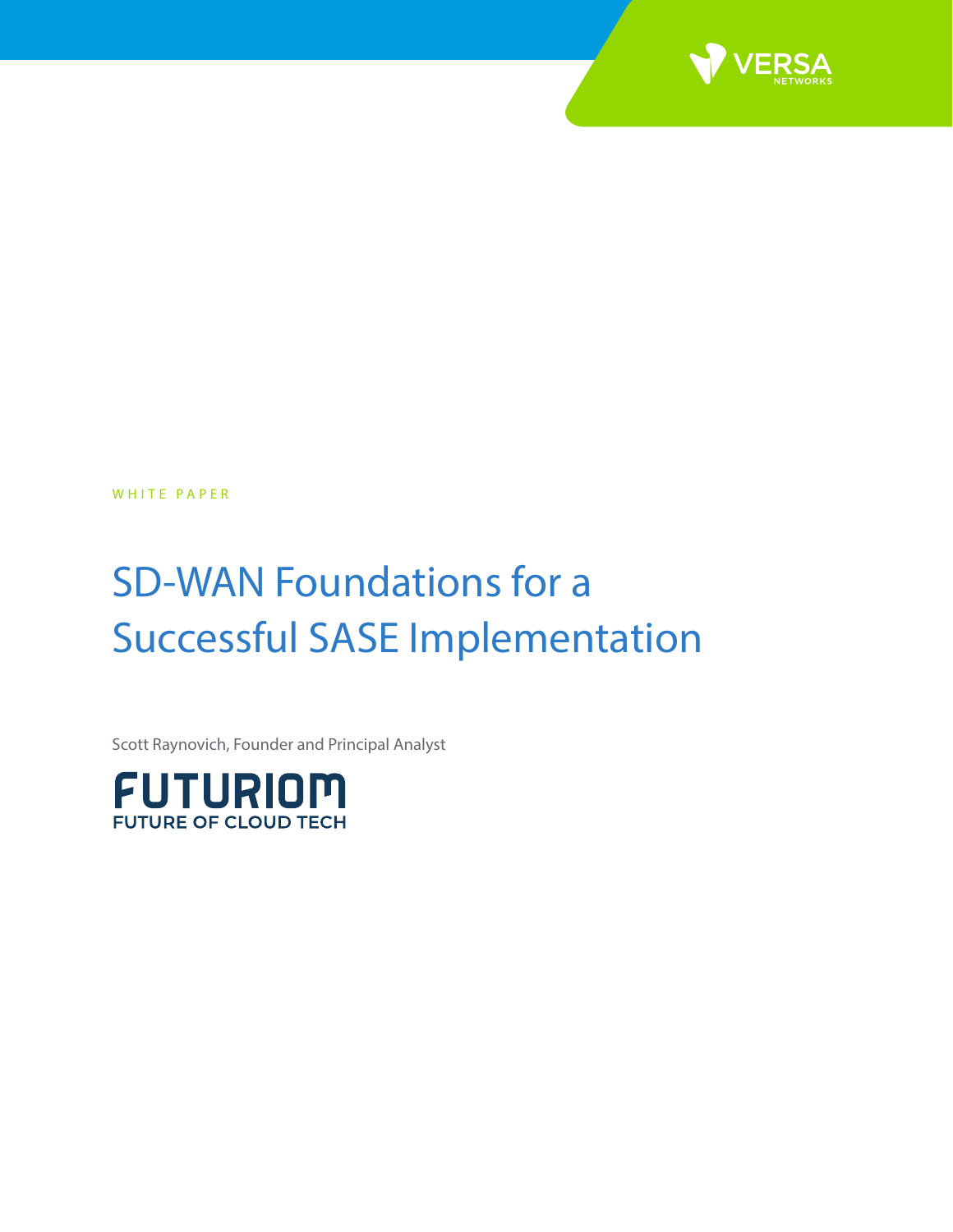

WHITE PAPER

# SD-WAN Foundations for a Successful SASE Implementation

Scott Raynovich, Founder and Principal Analyst

FUTURIOM **FUTURE OF CLOUD TECH**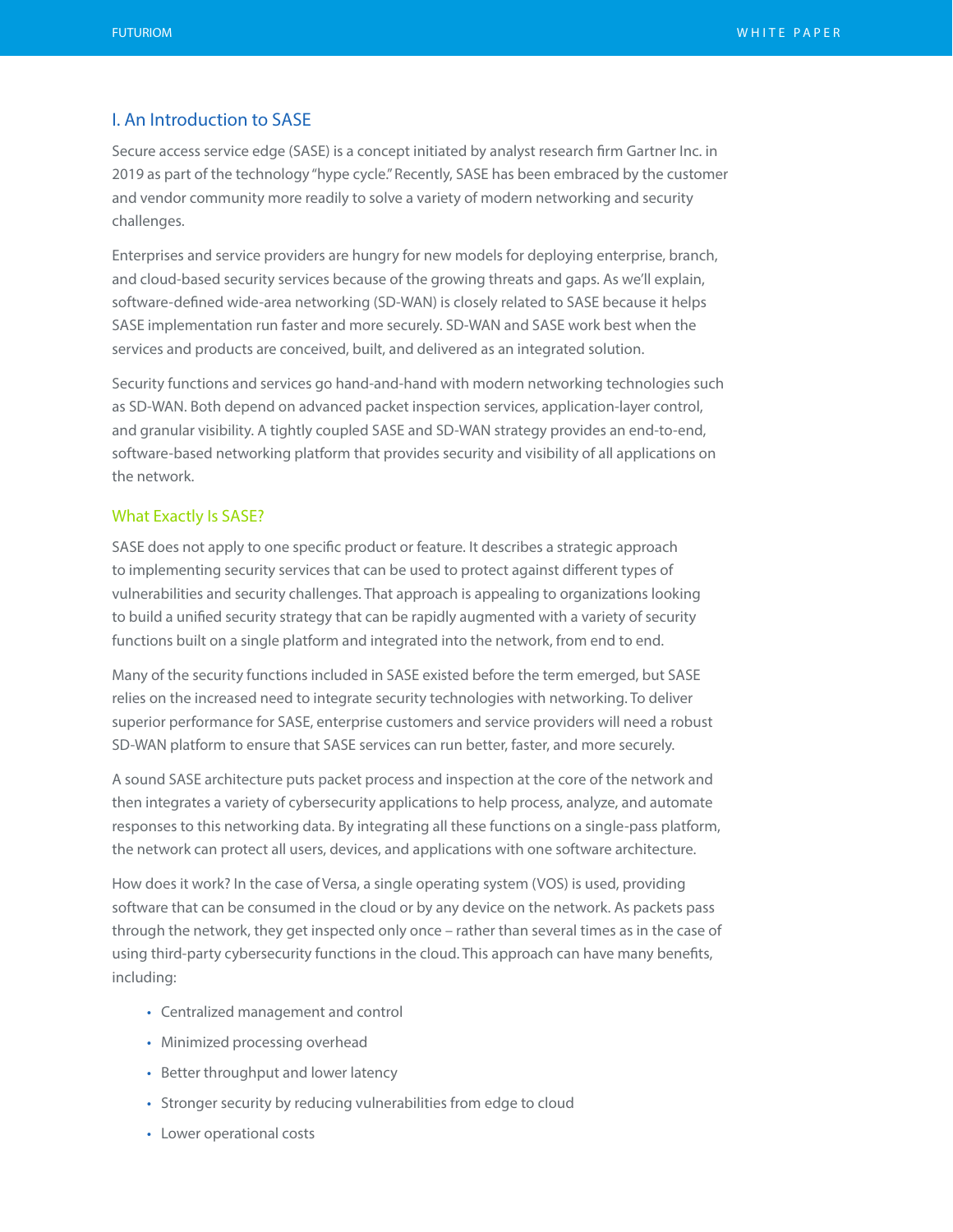# I. An Introduction to SASE

Secure access service edge (SASE) is a concept initiated by analyst research firm Gartner Inc. in 2019 as part of the technology "hype cycle." Recently, SASE has been embraced by the customer and vendor community more readily to solve a variety of modern networking and security challenges.

Enterprises and service providers are hungry for new models for deploying enterprise, branch, and cloud-based security services because of the growing threats and gaps. As we'll explain, software-defined wide-area networking (SD-WAN) is closely related to SASE because it helps SASE implementation run faster and more securely. SD-WAN and SASE work best when the services and products are conceived, built, and delivered as an integrated solution.

Security functions and services go hand-and-hand with modern networking technologies such as SD-WAN. Both depend on advanced packet inspection services, application-layer control, and granular visibility. A tightly coupled SASE and SD-WAN strategy provides an end-to-end, software-based networking platform that provides security and visibility of all applications on the network.

# What Exactly Is SASE?

SASE does not apply to one specific product or feature. It describes a strategic approach to implementing security services that can be used to protect against different types of vulnerabilities and security challenges. That approach is appealing to organizations looking to build a unified security strategy that can be rapidly augmented with a variety of security functions built on a single platform and integrated into the network, from end to end.

Many of the security functions included in SASE existed before the term emerged, but SASE relies on the increased need to integrate security technologies with networking. To deliver superior performance for SASE, enterprise customers and service providers will need a robust SD-WAN platform to ensure that SASE services can run better, faster, and more securely.

A sound SASE architecture puts packet process and inspection at the core of the network and then integrates a variety of cybersecurity applications to help process, analyze, and automate responses to this networking data. By integrating all these functions on a single-pass platform, the network can protect all users, devices, and applications with one software architecture.

How does it work? In the case of Versa, a single operating system (VOS) is used, providing software that can be consumed in the cloud or by any device on the network. As packets pass through the network, they get inspected only once – rather than several times as in the case of using third-party cybersecurity functions in the cloud. This approach can have many benefits, including:

- Centralized management and control
- Minimized processing overhead
- Better throughput and lower latency
- Stronger security by reducing vulnerabilities from edge to cloud
- Lower operational costs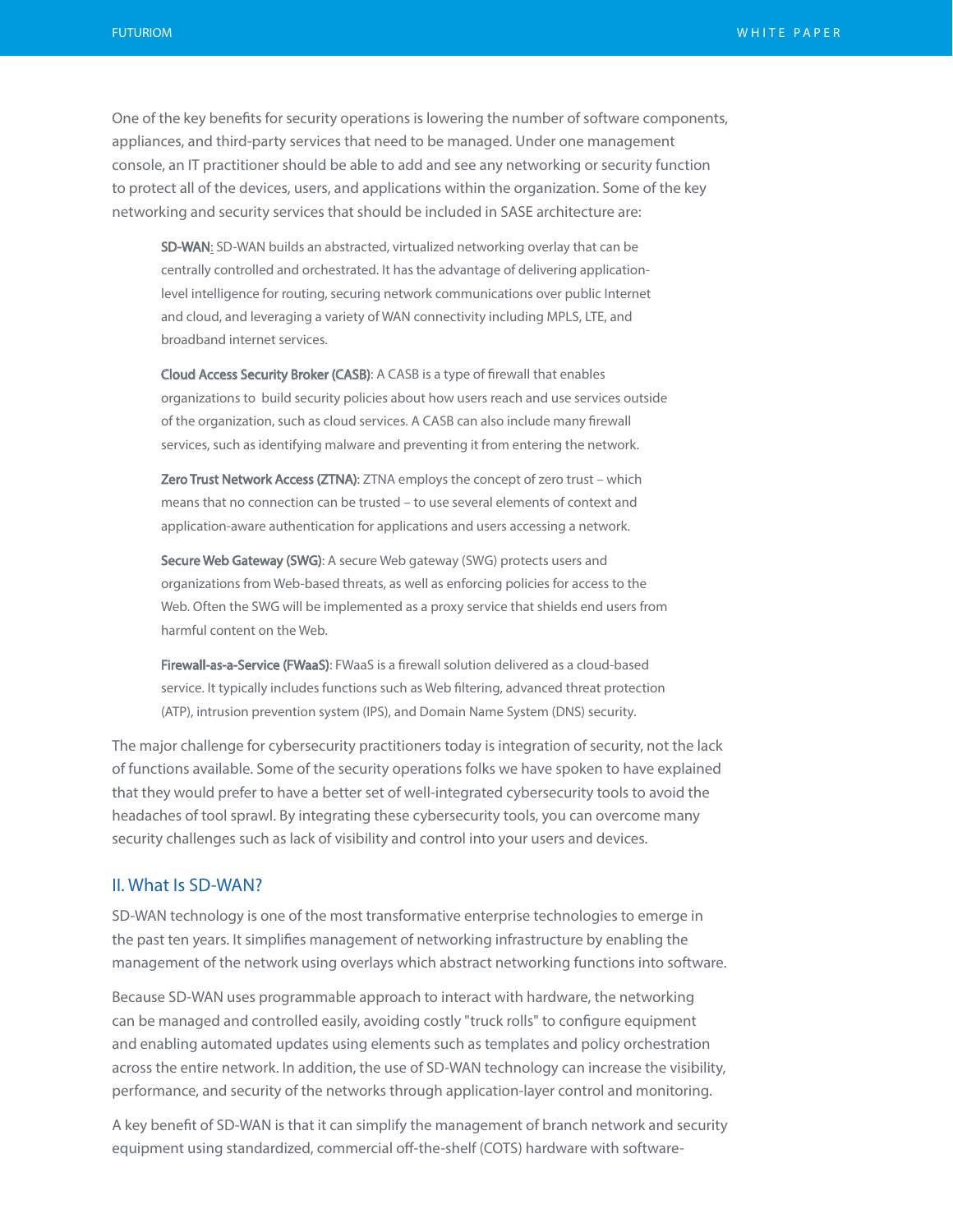One of the key benefits for security operations is lowering the number of software components, appliances, and third-party services that need to be managed. Under one management console, an IT practitioner should be able to add and see any networking or security function to protect all of the devices, users, and applications within the organization. Some of the key networking and security services that should be included in SASE architecture are:

SD-WAN: SD-WAN builds an abstracted, virtualized networking overlay that can be centrally controlled and orchestrated. It has the advantage of delivering applicationlevel intelligence for routing, securing network communications over public Internet and cloud, and leveraging a variety of WAN connectivity including MPLS, LTE, and broadband internet services.

Cloud Access Security Broker (CASB): A CASB is a type of firewall that enables organizations to build security policies about how users reach and use services outside of the organization, such as cloud services. A CASB can also include many firewall services, such as identifying malware and preventing it from entering the network.

Zero Trust Network Access (ZTNA): ZTNA employs the concept of zero trust – which means that no connection can be trusted – to use several elements of context and application-aware authentication for applications and users accessing a network.

Secure Web Gateway (SWG): A secure Web gateway (SWG) protects users and organizations from Web-based threats, as well as enforcing policies for access to the Web. Often the SWG will be implemented as a proxy service that shields end users from harmful content on the Web.

Firewall-as-a-Service (FWaaS): FWaaS is a firewall solution delivered as a cloud-based service. It typically includes functions such as Web filtering, advanced threat protection (ATP), intrusion prevention system (IPS), and Domain Name System (DNS) security.

The major challenge for cybersecurity practitioners today is integration of security, not the lack of functions available. Some of the security operations folks we have spoken to have explained that they would prefer to have a better set of well-integrated cybersecurity tools to avoid the headaches of tool sprawl. By integrating these cybersecurity tools, you can overcome many security challenges such as lack of visibility and control into your users and devices.

# II. What Is SD-WAN?

SD-WAN technology is one of the most transformative enterprise technologies to emerge in the past ten years. It simplifies management of networking infrastructure by enabling the management of the network using overlays which abstract networking functions into software.

Because SD-WAN uses programmable approach to interact with hardware, the networking can be managed and controlled easily, avoiding costly "truck rolls" to configure equipment and enabling automated updates using elements such as templates and policy orchestration across the entire network. In addition, the use of SD-WAN technology can increase the visibility, performance, and security of the networks through application-layer control and monitoring.

A key benefit of SD-WAN is that it can simplify the management of branch network and security equipment using standardized, commercial off-the-shelf (COTS) hardware with software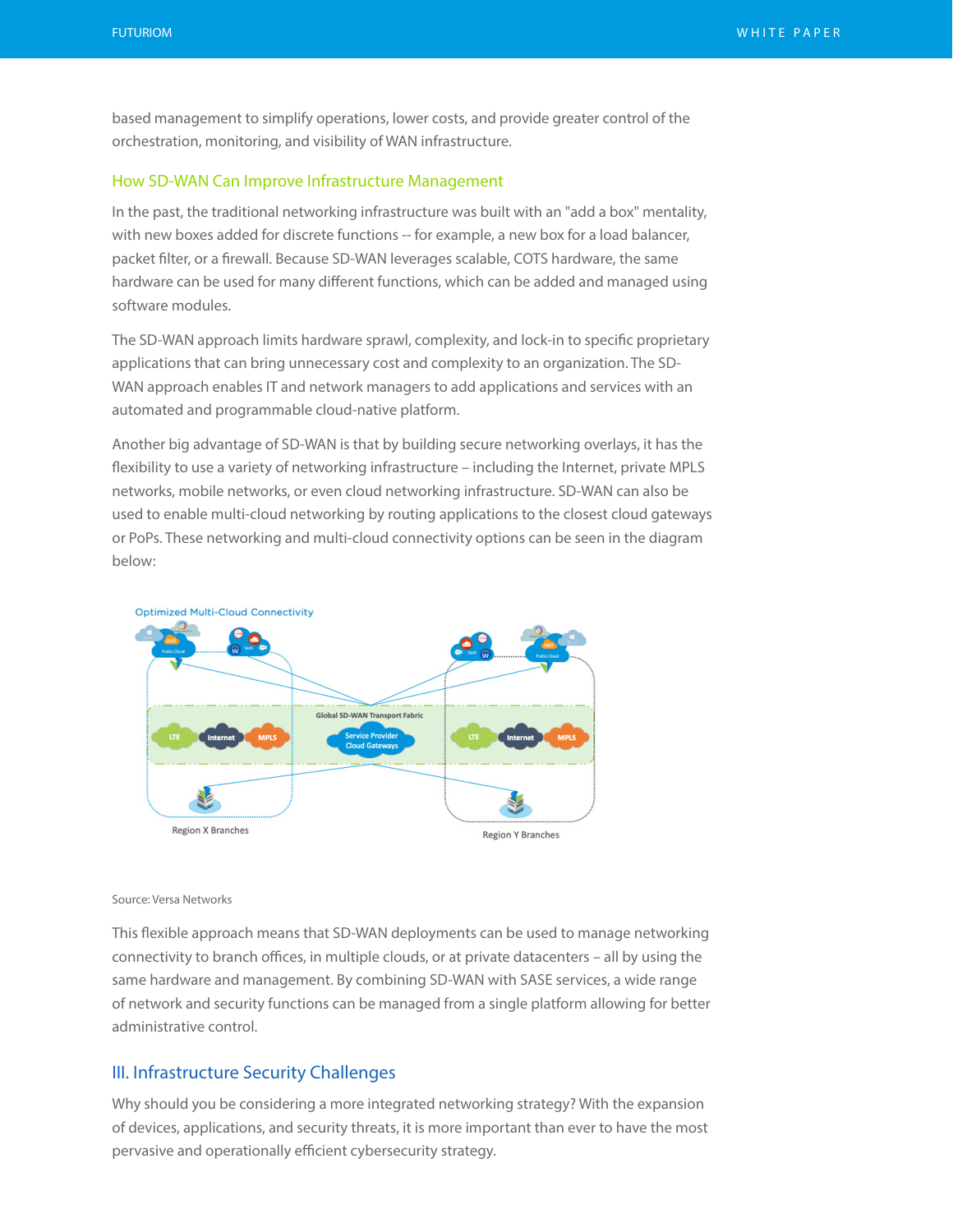based management to simplify operations, lower costs, and provide greater control of the orchestration, monitoring, and visibility of WAN infrastructure.

# How SD-WAN Can Improve Infrastructure Management

In the past, the traditional networking infrastructure was built with an "add a box" mentality, with new boxes added for discrete functions -- for example, a new box for a load balancer, packet filter, or a firewall. Because SD-WAN leverages scalable, COTS hardware, the same hardware can be used for many different functions, which can be added and managed using software modules.

The SD-WAN approach limits hardware sprawl, complexity, and lock-in to specific proprietary applications that can bring unnecessary cost and complexity to an organization. The SD-WAN approach enables IT and network managers to add applications and services with an automated and programmable cloud-native platform.

Another big advantage of SD-WAN is that by building secure networking overlays, it has the flexibility to use a variety of networking infrastructure – including the Internet, private MPLS networks, mobile networks, or even cloud networking infrastructure. SD-WAN can also be used to enable multi-cloud networking by routing applications to the closest cloud gateways or PoPs. These networking and multi-cloud connectivity options can be seen in the diagram below:



#### Source: Versa Networks

This flexible approach means that SD-WAN deployments can be used to manage networking connectivity to branch offices, in multiple clouds, or at private datacenters – all by using the same hardware and management. By combining SD-WAN with SASE services, a wide range of network and security functions can be managed from a single platform allowing for better administrative control.

# III. Infrastructure Security Challenges

Why should you be considering a more integrated networking strategy? With the expansion of devices, applications, and security threats, it is more important than ever to have the most pervasive and operationally efficient cybersecurity strategy.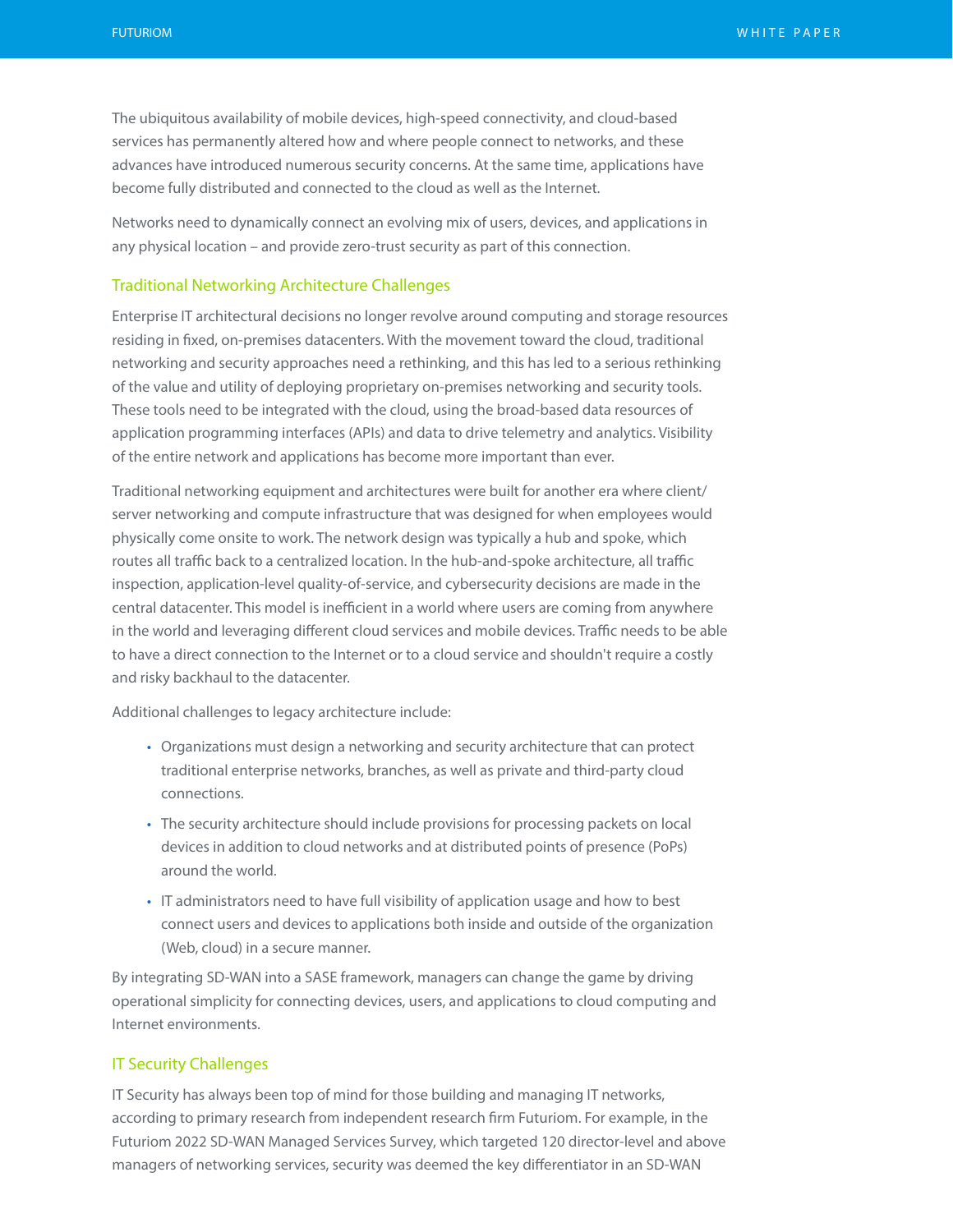The ubiquitous availability of mobile devices, high-speed connectivity, and cloud-based services has permanently altered how and where people connect to networks, and these advances have introduced numerous security concerns. At the same time, applications have become fully distributed and connected to the cloud as well as the Internet.

Networks need to dynamically connect an evolving mix of users, devices, and applications in any physical location – and provide zero-trust security as part of this connection.

# Traditional Networking Architecture Challenges

Enterprise IT architectural decisions no longer revolve around computing and storage resources residing in fixed, on-premises datacenters. With the movement toward the cloud, traditional networking and security approaches need a rethinking, and this has led to a serious rethinking of the value and utility of deploying proprietary on-premises networking and security tools. These tools need to be integrated with the cloud, using the broad-based data resources of application programming interfaces (APIs) and data to drive telemetry and analytics. Visibility of the entire network and applications has become more important than ever.

Traditional networking equipment and architectures were built for another era where client/ server networking and compute infrastructure that was designed for when employees would physically come onsite to work. The network design was typically a hub and spoke, which routes all traffic back to a centralized location. In the hub-and-spoke architecture, all traffic inspection, application-level quality-of-service, and cybersecurity decisions are made in the central datacenter. This model is inefficient in a world where users are coming from anywhere in the world and leveraging different cloud services and mobile devices. Traffic needs to be able to have a direct connection to the Internet or to a cloud service and shouldn't require a costly and risky backhaul to the datacenter.

Additional challenges to legacy architecture include:

- Organizations must design a networking and security architecture that can protect traditional enterprise networks, branches, as well as private and third-party cloud connections.
- The security architecture should include provisions for processing packets on local devices in addition to cloud networks and at distributed points of presence (PoPs) around the world.
- IT administrators need to have full visibility of application usage and how to best connect users and devices to applications both inside and outside of the organization (Web, cloud) in a secure manner.

By integrating SD-WAN into a SASE framework, managers can change the game by driving operational simplicity for connecting devices, users, and applications to cloud computing and Internet environments.

# IT Security Challenges

IT Security has always been top of mind for those building and managing IT networks, according to primary research from independent research firm Futuriom. For example, in the Futuriom 2022 SD-WAN Managed Services Survey, which targeted 120 director-level and above managers of networking services, security was deemed the key differentiator in an SD-WAN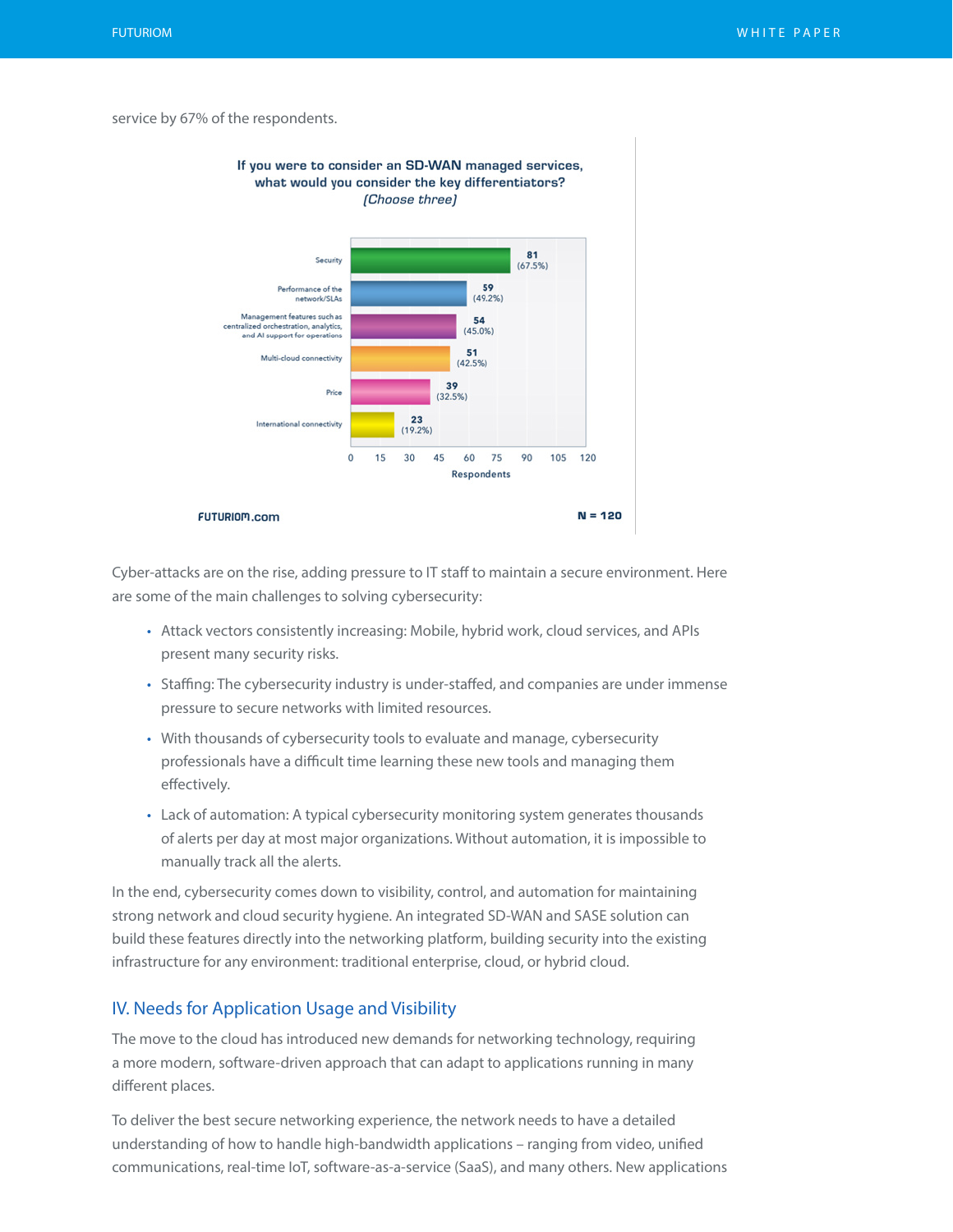#### service by 67% of the respondents.



Cyber-attacks are on the rise, adding pressure to IT staff to maintain a secure environment. Here are some of the main challenges to solving cybersecurity:

- Attack vectors consistently increasing: Mobile, hybrid work, cloud services, and APIs present many security risks.
- Staffing: The cybersecurity industry is under-staffed, and companies are under immense pressure to secure networks with limited resources.
- With thousands of cybersecurity tools to evaluate and manage, cybersecurity professionals have a difficult time learning these new tools and managing them effectively.
- Lack of automation: A typical cybersecurity monitoring system generates thousands of alerts per day at most major organizations. Without automation, it is impossible to manually track all the alerts.

In the end, cybersecurity comes down to visibility, control, and automation for maintaining strong network and cloud security hygiene. An integrated SD-WAN and SASE solution can build these features directly into the networking platform, building security into the existing infrastructure for any environment: traditional enterprise, cloud, or hybrid cloud.

# IV. Needs for Application Usage and Visibility

The move to the cloud has introduced new demands for networking technology, requiring a more modern, software-driven approach that can adapt to applications running in many different places.

To deliver the best secure networking experience, the network needs to have a detailed understanding of how to handle high-bandwidth applications – ranging from video, unified communications, real-time IoT, software-as-a-service (SaaS), and many others. New applications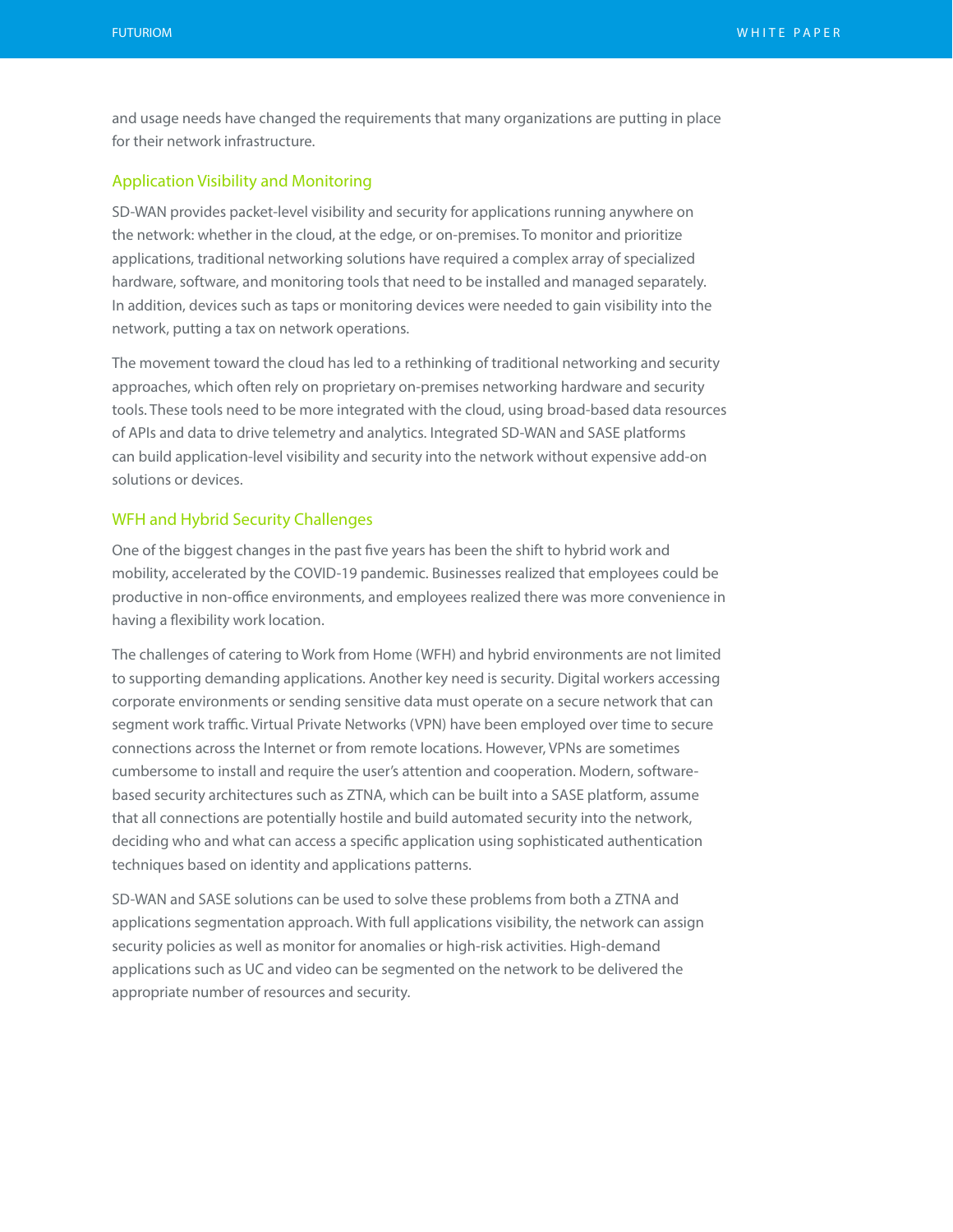and usage needs have changed the requirements that many organizations are putting in place for their network infrastructure.

# Application Visibility and Monitoring

SD-WAN provides packet-level visibility and security for applications running anywhere on the network: whether in the cloud, at the edge, or on-premises. To monitor and prioritize applications, traditional networking solutions have required a complex array of specialized hardware, software, and monitoring tools that need to be installed and managed separately. In addition, devices such as taps or monitoring devices were needed to gain visibility into the network, putting a tax on network operations.

The movement toward the cloud has led to a rethinking of traditional networking and security approaches, which often rely on proprietary on-premises networking hardware and security tools. These tools need to be more integrated with the cloud, using broad-based data resources of APIs and data to drive telemetry and analytics. Integrated SD-WAN and SASE platforms can build application-level visibility and security into the network without expensive add-on solutions or devices.

# WFH and Hybrid Security Challenges

One of the biggest changes in the past five years has been the shift to hybrid work and mobility, accelerated by the COVID-19 pandemic. Businesses realized that employees could be productive in non-office environments, and employees realized there was more convenience in having a flexibility work location.

The challenges of catering to Work from Home (WFH) and hybrid environments are not limited to supporting demanding applications. Another key need is security. Digital workers accessing corporate environments or sending sensitive data must operate on a secure network that can segment work traffic. Virtual Private Networks (VPN) have been employed over time to secure connections across the Internet or from remote locations. However, VPNs are sometimes cumbersome to install and require the user's attention and cooperation. Modern, softwarebased security architectures such as ZTNA, which can be built into a SASE platform, assume that all connections are potentially hostile and build automated security into the network, deciding who and what can access a specific application using sophisticated authentication techniques based on identity and applications patterns.

SD-WAN and SASE solutions can be used to solve these problems from both a ZTNA and applications segmentation approach. With full applications visibility, the network can assign security policies as well as monitor for anomalies or high-risk activities. High-demand applications such as UC and video can be segmented on the network to be delivered the appropriate number of resources and security.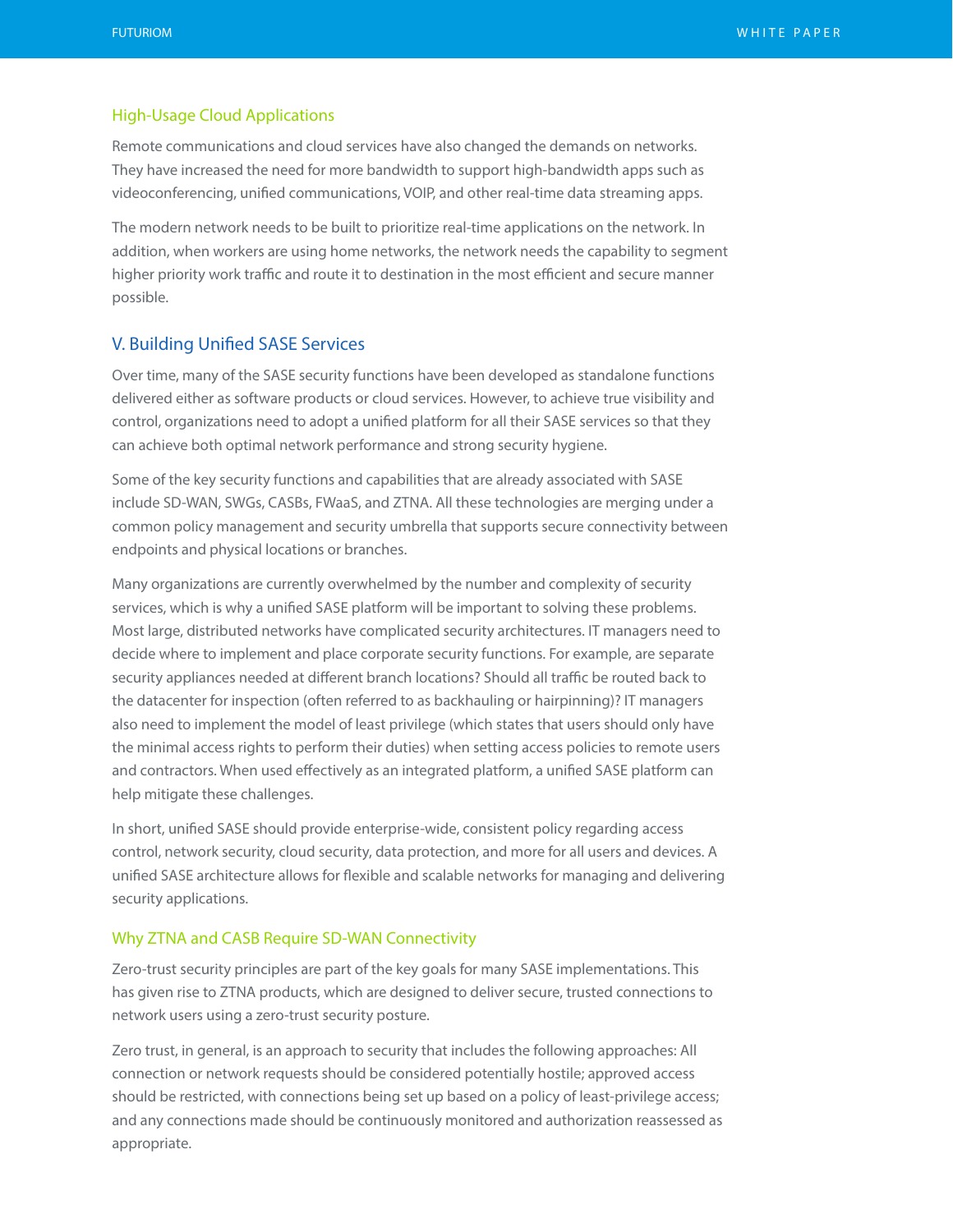# High-Usage Cloud Applications

Remote communications and cloud services have also changed the demands on networks. They have increased the need for more bandwidth to support high-bandwidth apps such as videoconferencing, unified communications, VOIP, and other real-time data streaming apps.

The modern network needs to be built to prioritize real-time applications on the network. In addition, when workers are using home networks, the network needs the capability to segment higher priority work traffic and route it to destination in the most efficient and secure manner possible.

# V. Building Unified SASE Services

Over time, many of the SASE security functions have been developed as standalone functions delivered either as software products or cloud services. However, to achieve true visibility and control, organizations need to adopt a unified platform for all their SASE services so that they can achieve both optimal network performance and strong security hygiene.

Some of the key security functions and capabilities that are already associated with SASE include SD-WAN, SWGs, CASBs, FWaaS, and ZTNA. All these technologies are merging under a common policy management and security umbrella that supports secure connectivity between endpoints and physical locations or branches.

Many organizations are currently overwhelmed by the number and complexity of security services, which is why a unified SASE platform will be important to solving these problems. Most large, distributed networks have complicated security architectures. IT managers need to decide where to implement and place corporate security functions. For example, are separate security appliances needed at different branch locations? Should all traffic be routed back to the datacenter for inspection (often referred to as backhauling or hairpinning)? IT managers also need to implement the model of least privilege (which states that users should only have the minimal access rights to perform their duties) when setting access policies to remote users and contractors. When used effectively as an integrated platform, a unified SASE platform can help mitigate these challenges.

In short, unified SASE should provide enterprise-wide, consistent policy regarding access control, network security, cloud security, data protection, and more for all users and devices. A unified SASE architecture allows for flexible and scalable networks for managing and delivering security applications.

# Why ZTNA and CASB Require SD-WAN Connectivity

Zero-trust security principles are part of the key goals for many SASE implementations. This has given rise to ZTNA products, which are designed to deliver secure, trusted connections to network users using a zero-trust security posture.

Zero trust, in general, is an approach to security that includes the following approaches: All connection or network requests should be considered potentially hostile; approved access should be restricted, with connections being set up based on a policy of least-privilege access; and any connections made should be continuously monitored and authorization reassessed as appropriate.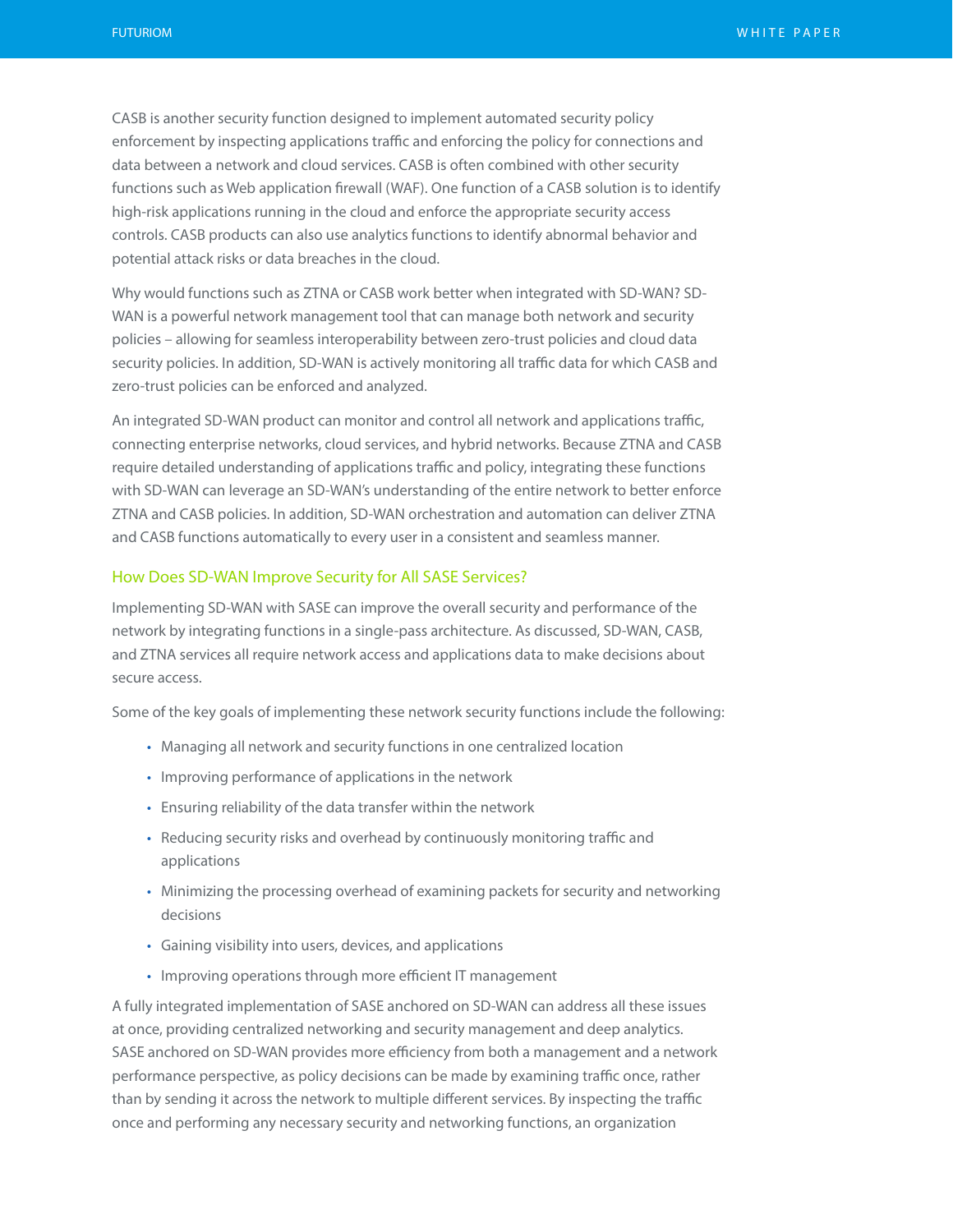CASB is another security function designed to implement automated security policy enforcement by inspecting applications traffic and enforcing the policy for connections and data between a network and cloud services. CASB is often combined with other security functions such as Web application firewall (WAF). One function of a CASB solution is to identify high-risk applications running in the cloud and enforce the appropriate security access controls. CASB products can also use analytics functions to identify abnormal behavior and potential attack risks or data breaches in the cloud.

Why would functions such as ZTNA or CASB work better when integrated with SD-WAN? SD-WAN is a powerful network management tool that can manage both network and security policies – allowing for seamless interoperability between zero-trust policies and cloud data security policies. In addition, SD-WAN is actively monitoring all traffic data for which CASB and zero-trust policies can be enforced and analyzed.

An integrated SD-WAN product can monitor and control all network and applications traffic, connecting enterprise networks, cloud services, and hybrid networks. Because ZTNA and CASB require detailed understanding of applications traffic and policy, integrating these functions with SD-WAN can leverage an SD-WAN's understanding of the entire network to better enforce ZTNA and CASB policies. In addition, SD-WAN orchestration and automation can deliver ZTNA and CASB functions automatically to every user in a consistent and seamless manner.

#### How Does SD-WAN Improve Security for All SASE Services?

Implementing SD-WAN with SASE can improve the overall security and performance of the network by integrating functions in a single-pass architecture. As discussed, SD-WAN, CASB, and ZTNA services all require network access and applications data to make decisions about secure access.

Some of the key goals of implementing these network security functions include the following:

- Managing all network and security functions in one centralized location
- Improving performance of applications in the network
- Ensuring reliability of the data transfer within the network
- Reducing security risks and overhead by continuously monitoring traffic and applications
- Minimizing the processing overhead of examining packets for security and networking decisions
- Gaining visibility into users, devices, and applications
- Improving operations through more efficient IT management

A fully integrated implementation of SASE anchored on SD-WAN can address all these issues at once, providing centralized networking and security management and deep analytics. SASE anchored on SD-WAN provides more efficiency from both a management and a network performance perspective, as policy decisions can be made by examining traffic once, rather than by sending it across the network to multiple different services. By inspecting the traffic once and performing any necessary security and networking functions, an organization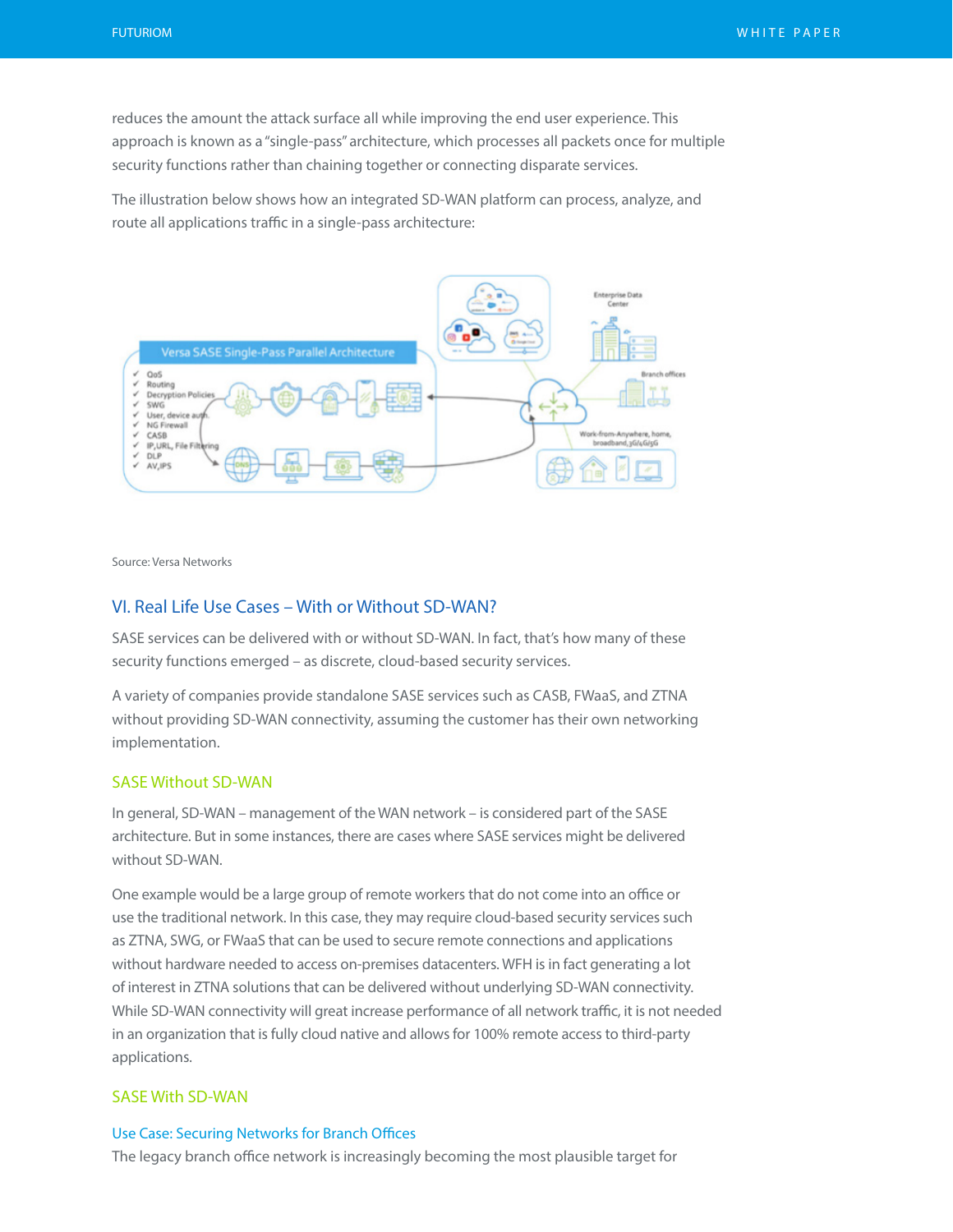reduces the amount the attack surface all while improving the end user experience. This approach is known as a "single-pass" architecture, which processes all packets once for multiple security functions rather than chaining together or connecting disparate services.

The illustration below shows how an integrated SD-WAN platform can process, analyze, and route all applications traffic in a single-pass architecture:



Source: Versa Networks

# VI. Real Life Use Cases – With or Without SD-WAN?

SASE services can be delivered with or without SD-WAN. In fact, that's how many of these security functions emerged – as discrete, cloud-based security services.

A variety of companies provide standalone SASE services such as CASB, FWaaS, and ZTNA without providing SD-WAN connectivity, assuming the customer has their own networking implementation.

## SASE Without SD-WAN

In general, SD-WAN – management of the WAN network – is considered part of the SASE architecture. But in some instances, there are cases where SASE services might be delivered without SD-WAN.

One example would be a large group of remote workers that do not come into an office or use the traditional network. In this case, they may require cloud-based security services such as ZTNA, SWG, or FWaaS that can be used to secure remote connections and applications without hardware needed to access on-premises datacenters. WFH is in fact generating a lot of interest in ZTNA solutions that can be delivered without underlying SD-WAN connectivity. While SD-WAN connectivity will great increase performance of all network traffic, it is not needed in an organization that is fully cloud native and allows for 100% remote access to third-party applications.

# SASE With SD-WAN

#### Use Case: Securing Networks for Branch Offices

The legacy branch office network is increasingly becoming the most plausible target for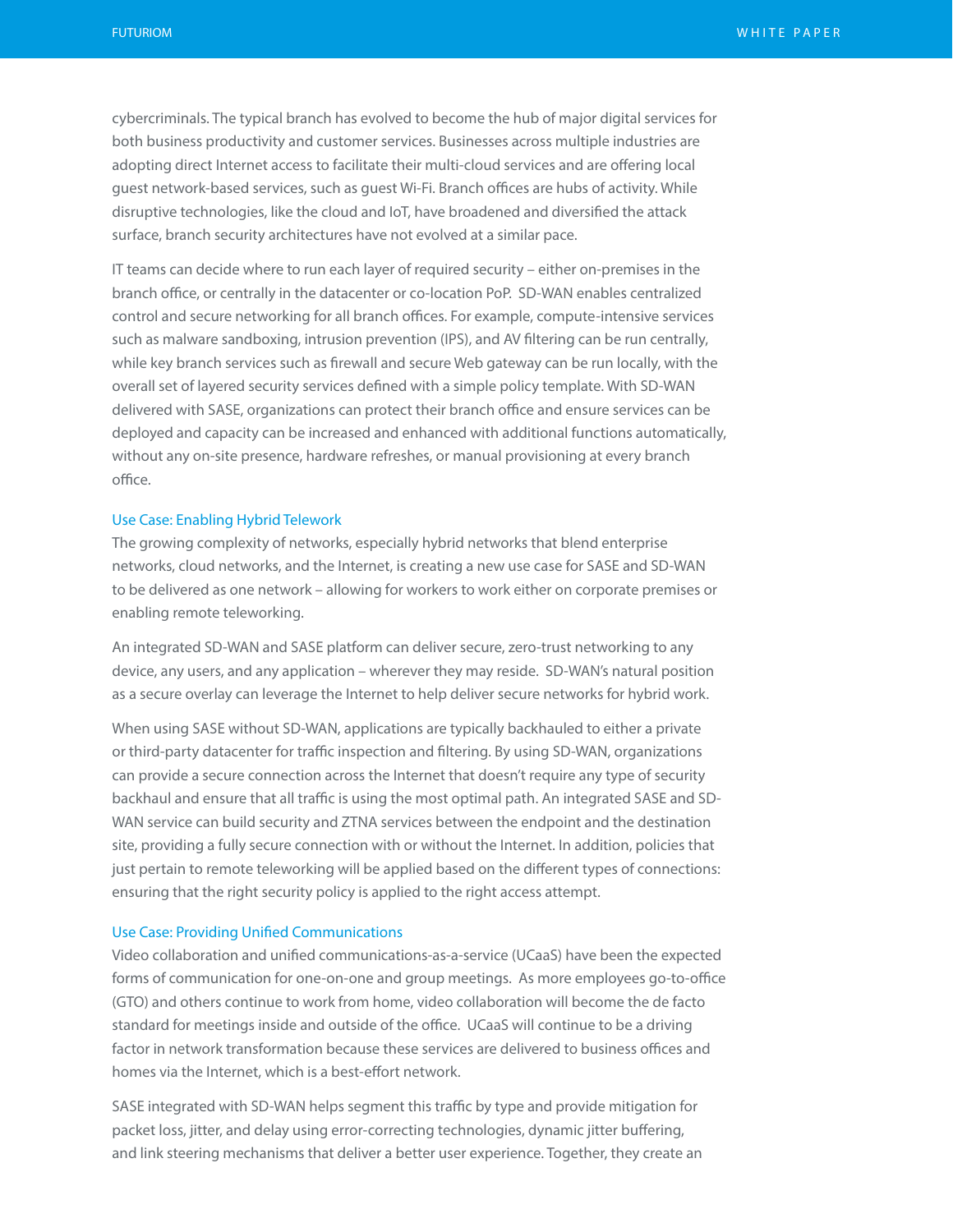cybercriminals. The typical branch has evolved to become the hub of major digital services for both business productivity and customer services. Businesses across multiple industries are adopting direct Internet access to facilitate their multi-cloud services and are offering local guest network-based services, such as guest Wi-Fi. Branch offices are hubs of activity. While disruptive technologies, like the cloud and IoT, have broadened and diversified the attack surface, branch security architectures have not evolved at a similar pace.

IT teams can decide where to run each layer of required security – either on-premises in the branch office, or centrally in the datacenter or co-location PoP. SD-WAN enables centralized control and secure networking for all branch offices. For example, compute-intensive services such as malware sandboxing, intrusion prevention (IPS), and AV filtering can be run centrally, while key branch services such as firewall and secure Web gateway can be run locally, with the overall set of layered security services defined with a simple policy template. With SD-WAN delivered with SASE, organizations can protect their branch office and ensure services can be deployed and capacity can be increased and enhanced with additional functions automatically, without any on-site presence, hardware refreshes, or manual provisioning at every branch office.

#### Use Case: Enabling Hybrid Telework

The growing complexity of networks, especially hybrid networks that blend enterprise networks, cloud networks, and the Internet, is creating a new use case for SASE and SD-WAN to be delivered as one network – allowing for workers to work either on corporate premises or enabling remote teleworking.

An integrated SD-WAN and SASE platform can deliver secure, zero-trust networking to any device, any users, and any application – wherever they may reside. SD-WAN's natural position as a secure overlay can leverage the Internet to help deliver secure networks for hybrid work.

When using SASE without SD-WAN, applications are typically backhauled to either a private or third-party datacenter for traffic inspection and filtering. By using SD-WAN, organizations can provide a secure connection across the Internet that doesn't require any type of security backhaul and ensure that all traffic is using the most optimal path. An integrated SASE and SD-WAN service can build security and ZTNA services between the endpoint and the destination site, providing a fully secure connection with or without the Internet. In addition, policies that just pertain to remote teleworking will be applied based on the different types of connections: ensuring that the right security policy is applied to the right access attempt.

#### Use Case: Providing Unified Communications

Video collaboration and unified communications-as-a-service (UCaaS) have been the expected forms of communication for one-on-one and group meetings. As more employees go-to-office (GTO) and others continue to work from home, video collaboration will become the de facto standard for meetings inside and outside of the office. UCaaS will continue to be a driving factor in network transformation because these services are delivered to business offices and homes via the Internet, which is a best-effort network.

SASE integrated with SD-WAN helps segment this traffic by type and provide mitigation for packet loss, jitter, and delay using error-correcting technologies, dynamic jitter buffering, and link steering mechanisms that deliver a better user experience. Together, they create an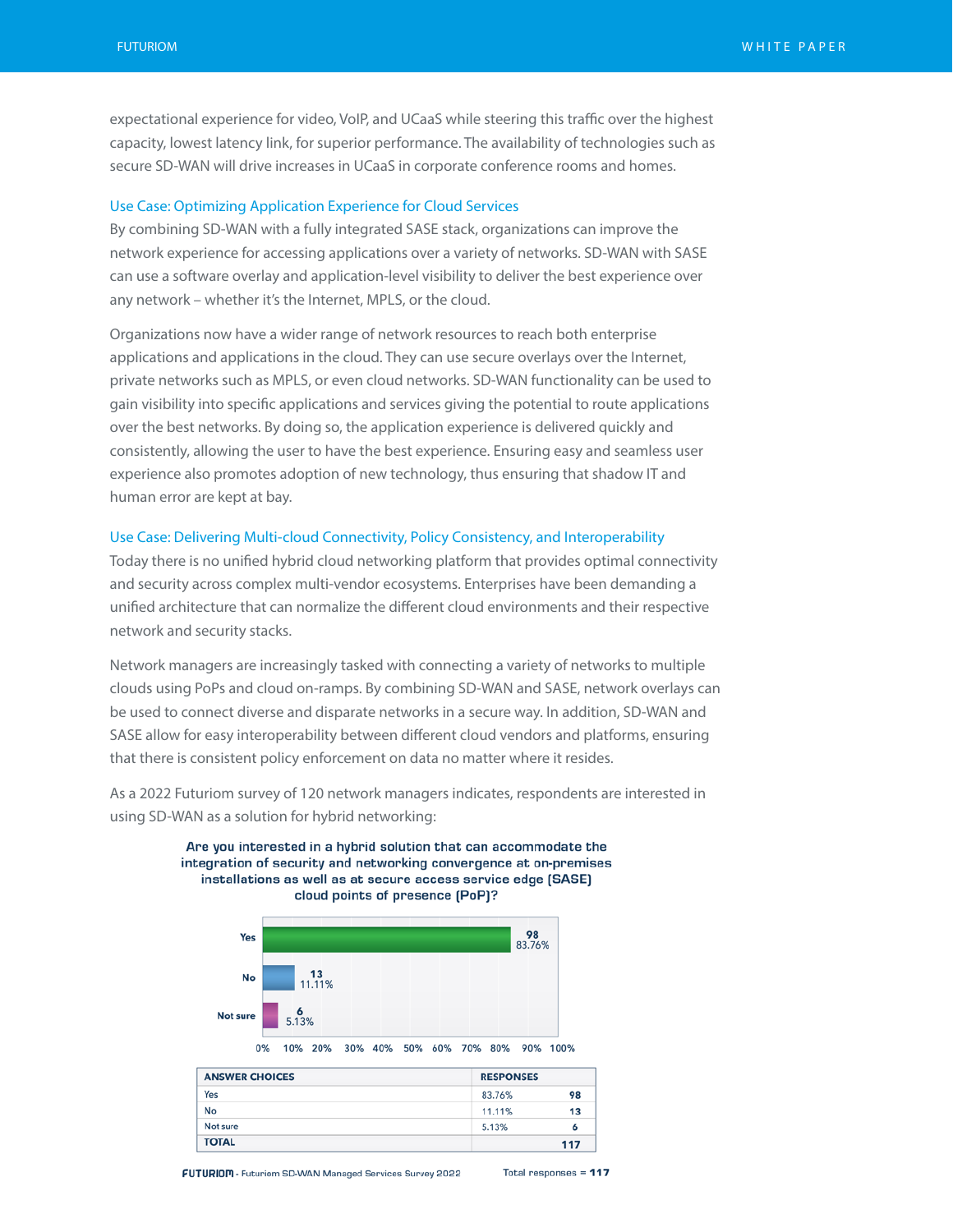expectational experience for video, VoIP, and UCaaS while steering this traffic over the highest capacity, lowest latency link, for superior performance. The availability of technologies such as secure SD-WAN will drive increases in UCaaS in corporate conference rooms and homes.

# Use Case: Optimizing Application Experience for Cloud Services

By combining SD-WAN with a fully integrated SASE stack, organizations can improve the network experience for accessing applications over a variety of networks. SD-WAN with SASE can use a software overlay and application-level visibility to deliver the best experience over any network – whether it's the Internet, MPLS, or the cloud.

Organizations now have a wider range of network resources to reach both enterprise applications and applications in the cloud. They can use secure overlays over the Internet, private networks such as MPLS, or even cloud networks. SD-WAN functionality can be used to gain visibility into specific applications and services giving the potential to route applications over the best networks. By doing so, the application experience is delivered quickly and consistently, allowing the user to have the best experience. Ensuring easy and seamless user experience also promotes adoption of new technology, thus ensuring that shadow IT and human error are kept at bay.

# Use Case: Delivering Multi-cloud Connectivity, Policy Consistency, and Interoperability

Today there is no unified hybrid cloud networking platform that provides optimal connectivity and security across complex multi-vendor ecosystems. Enterprises have been demanding a unified architecture that can normalize the different cloud environments and their respective network and security stacks.

Network managers are increasingly tasked with connecting a variety of networks to multiple clouds using PoPs and cloud on-ramps. By combining SD-WAN and SASE, network overlays can be used to connect diverse and disparate networks in a secure way. In addition, SD-WAN and SASE allow for easy interoperability between different cloud vendors and platforms, ensuring that there is consistent policy enforcement on data no matter where it resides.

As a 2022 Futuriom survey of 120 network managers indicates, respondents are interested in using SD-WAN as a solution for hybrid networking:



Are you interested in a hybrid solution that can accommodate the integration of security and networking convergence at on-premises installations as well as at secure access service edge (SASE) cloud points of presence (PoP)?

<sup>10% 20% 30% 40% 50% 60% 70% 80% 90% 100%</sup> 

| <b>ANSWER CHOICES</b> | <b>RESPONSES</b> |     |
|-----------------------|------------------|-----|
| Yes                   | 83.76%           | 98  |
| No                    | 11.11%           | 13  |
| Not sure              | 5.13%            | 6   |
| <b>TOTAL</b>          |                  | 117 |

FUTURIOM - Futuriom SD-WAN Managed Services Survey 2022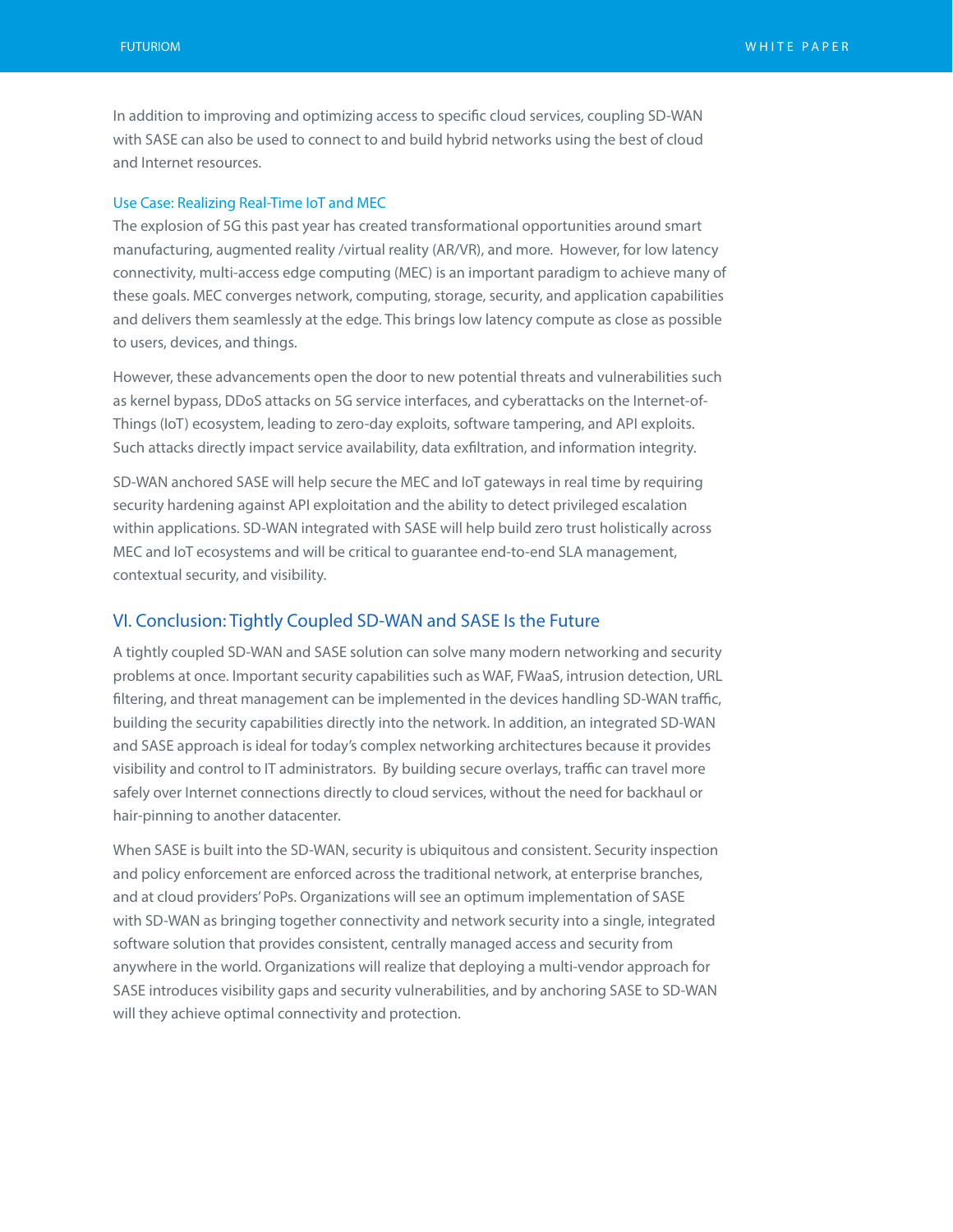In addition to improving and optimizing access to specific cloud services, coupling SD-WAN with SASE can also be used to connect to and build hybrid networks using the best of cloud and Internet resources.

# Use Case: Realizing Real-Time IoT and MEC

The explosion of 5G this past year has created transformational opportunities around smart manufacturing, augmented reality /virtual reality (AR/VR), and more. However, for low latency connectivity, multi-access edge computing (MEC) is an important paradigm to achieve many of these goals. MEC converges network, computing, storage, security, and application capabilities and delivers them seamlessly at the edge. This brings low latency compute as close as possible to users, devices, and things.

However, these advancements open the door to new potential threats and vulnerabilities such as kernel bypass, DDoS attacks on 5G service interfaces, and cyberattacks on the Internet-of-Things (IoT) ecosystem, leading to zero-day exploits, software tampering, and API exploits. Such attacks directly impact service availability, data exfiltration, and information integrity.

SD-WAN anchored SASE will help secure the MEC and IoT gateways in real time by requiring security hardening against API exploitation and the ability to detect privileged escalation within applications. SD-WAN integrated with SASE will help build zero trust holistically across MEC and IoT ecosystems and will be critical to guarantee end-to-end SLA management, contextual security, and visibility.

# VI. Conclusion: Tightly Coupled SD-WAN and SASE Is the Future

A tightly coupled SD-WAN and SASE solution can solve many modern networking and security problems at once. Important security capabilities such as WAF, FWaaS, intrusion detection, URL filtering, and threat management can be implemented in the devices handling SD-WAN traffic, building the security capabilities directly into the network. In addition, an integrated SD-WAN and SASE approach is ideal for today's complex networking architectures because it provides visibility and control to IT administrators. By building secure overlays, traffic can travel more safely over Internet connections directly to cloud services, without the need for backhaul or hair-pinning to another datacenter.

When SASE is built into the SD-WAN, security is ubiquitous and consistent. Security inspection and policy enforcement are enforced across the traditional network, at enterprise branches, and at cloud providers' PoPs. Organizations will see an optimum implementation of SASE with SD-WAN as bringing together connectivity and network security into a single, integrated software solution that provides consistent, centrally managed access and security from anywhere in the world. Organizations will realize that deploying a multi-vendor approach for SASE introduces visibility gaps and security vulnerabilities, and by anchoring SASE to SD-WAN will they achieve optimal connectivity and protection.